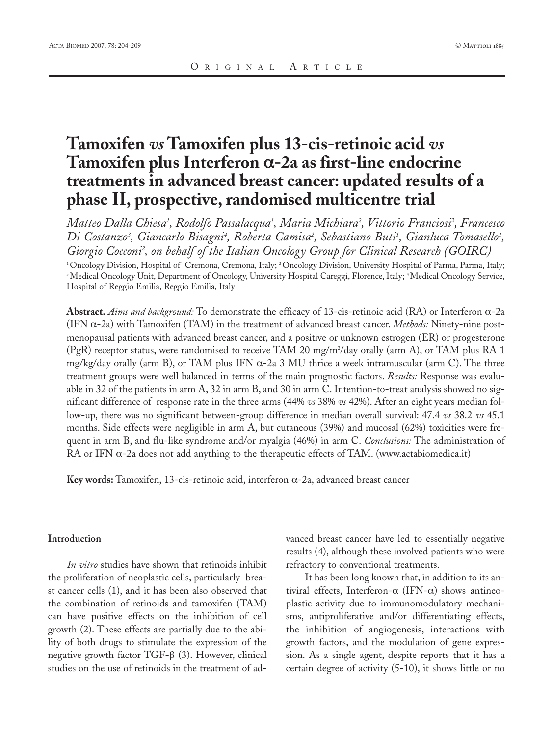# **Tamoxifen** *vs* **Tamoxifen plus 13-cis-retinoic acid** *vs* **Tamoxifen plus Interferon** α**-2a as first-line endocrine treatments in advanced breast cancer: updated results of a phase II, prospective, randomised multicentre trial**

*Matteo Dalla Chiesa1 , Rodolfo Passalacqua1 , Maria Michiara2 , Vittorio Franciosi2 , Francesco* Di Costanzo<sup>3</sup>, Giancarlo Bisagni<sup>4</sup>, Roberta Camisa<sup>2</sup>, Sebastiano Buti<sup>1</sup>, Gianluca Tomasello<sup>1</sup>, *Giorgio Cocconi2 , on behalf of the Italian Oncology Group for Clinical Research (GOIRC)*

1 Oncology Division, Hospital of Cremona, Cremona, Italy; 2 Oncology Division, University Hospital of Parma, Parma, Italy; <sup>3</sup> Medical Oncology Unit, Department of Oncology, University Hospital Careggi, Florence, Italy; <sup>4</sup>Medical Oncology Service, Hospital of Reggio Emilia, Reggio Emilia, Italy

**Abstract.** *Aims and background:* To demonstrate the efficacy of 13-cis-retinoic acid (RA) or Interferon α-2a (IFN α-2a) with Tamoxifen (TAM) in the treatment of advanced breast cancer. *Methods:* Ninety-nine postmenopausal patients with advanced breast cancer, and a positive or unknown estrogen (ER) or progesterone (PgR) receptor status, were randomised to receive TAM 20 mg/m2 /day orally (arm A), or TAM plus RA 1 mg/kg/day orally (arm B), or TAM plus IFN  $\alpha$ -2a 3 MU thrice a week intramuscular (arm C). The three treatment groups were well balanced in terms of the main prognostic factors. *Results:* Response was evaluable in 32 of the patients in arm A, 32 in arm B, and 30 in arm C. Intention-to-treat analysis showed no significant difference of response rate in the three arms (44% *vs* 38% *vs* 42%). After an eight years median follow-up, there was no significant between-group difference in median overall survival: 47.4 *vs* 38.2 *vs* 45.1 months. Side effects were negligible in arm A, but cutaneous (39%) and mucosal (62%) toxicities were frequent in arm B, and flu-like syndrome and/or myalgia (46%) in arm C. *Conclusions:* The administration of RA or IFN  $\alpha$ -2a does not add anything to the therapeutic effects of TAM. (www.actabiomedica.it)

**Key words:** Tamoxifen, 13-cis-retinoic acid, interferon α-2a, advanced breast cancer

#### **Introduction**

*In vitro* studies have shown that retinoids inhibit the proliferation of neoplastic cells, particularly breast cancer cells (1), and it has been also observed that the combination of retinoids and tamoxifen (TAM) can have positive effects on the inhibition of cell growth (2). These effects are partially due to the ability of both drugs to stimulate the expression of the negative growth factor TGF-β (3). However, clinical studies on the use of retinoids in the treatment of advanced breast cancer have led to essentially negative results (4), although these involved patients who were refractory to conventional treatments.

It has been long known that, in addition to its antiviral effects, Interferon-α (IFN-α) shows antineoplastic activity due to immunomodulatory mechanisms, antiproliferative and/or differentiating effects, the inhibition of angiogenesis, interactions with growth factors, and the modulation of gene expression. As a single agent, despite reports that it has a certain degree of activity (5-10), it shows little or no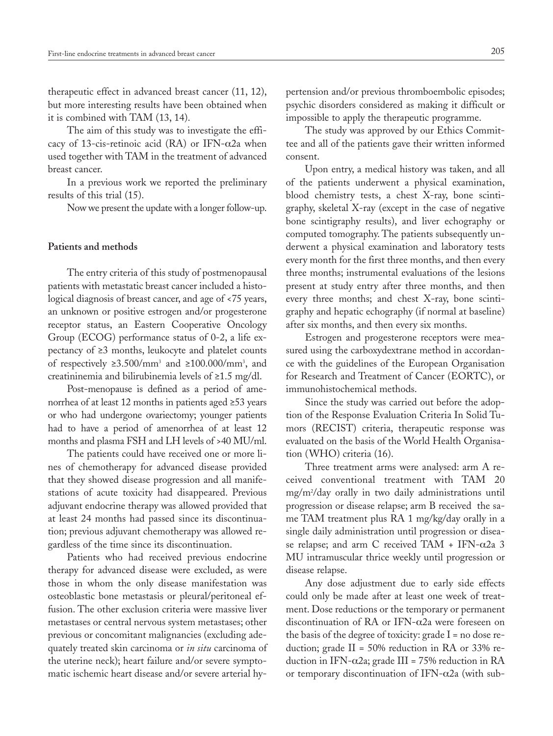therapeutic effect in advanced breast cancer (11, 12), but more interesting results have been obtained when it is combined with TAM (13, 14).

The aim of this study was to investigate the efficacy of 13-cis-retinoic acid (RA) or IFN- $\alpha$ 2a when used together with TAM in the treatment of advanced breast cancer.

In a previous work we reported the preliminary results of this trial (15).

Now we present the update with a longer follow-up.

#### **Patients and methods**

The entry criteria of this study of postmenopausal patients with metastatic breast cancer included a histological diagnosis of breast cancer, and age of <75 years, an unknown or positive estrogen and/or progesterone receptor status, an Eastern Cooperative Oncology Group (ECOG) performance status of 0-2, a life expectancy of ≥3 months, leukocyte and platelet counts of respectively ≥3.500/mm3 and ≥100.000/mm3 , and creatininemia and bilirubinemia levels of ≥1.5 mg/dl.

Post-menopause is defined as a period of amenorrhea of at least 12 months in patients aged ≥53 years or who had undergone ovariectomy; younger patients had to have a period of amenorrhea of at least 12 months and plasma FSH and LH levels of >40 MU/ml.

The patients could have received one or more lines of chemotherapy for advanced disease provided that they showed disease progression and all manifestations of acute toxicity had disappeared. Previous adjuvant endocrine therapy was allowed provided that at least 24 months had passed since its discontinuation; previous adjuvant chemotherapy was allowed regardless of the time since its discontinuation.

Patients who had received previous endocrine therapy for advanced disease were excluded, as were those in whom the only disease manifestation was osteoblastic bone metastasis or pleural/peritoneal effusion. The other exclusion criteria were massive liver metastases or central nervous system metastases; other previous or concomitant malignancies (excluding adequately treated skin carcinoma or *in situ* carcinoma of the uterine neck); heart failure and/or severe symptomatic ischemic heart disease and/or severe arterial hypertension and/or previous thromboembolic episodes; psychic disorders considered as making it difficult or impossible to apply the therapeutic programme.

The study was approved by our Ethics Committee and all of the patients gave their written informed consent.

Upon entry, a medical history was taken, and all of the patients underwent a physical examination, blood chemistry tests, a chest X-ray, bone scintigraphy, skeletal X-ray (except in the case of negative bone scintigraphy results), and liver echography or computed tomography. The patients subsequently underwent a physical examination and laboratory tests every month for the first three months, and then every three months; instrumental evaluations of the lesions present at study entry after three months, and then every three months; and chest X-ray, bone scintigraphy and hepatic echography (if normal at baseline) after six months, and then every six months.

Estrogen and progesterone receptors were measured using the carboxydextrane method in accordance with the guidelines of the European Organisation for Research and Treatment of Cancer (EORTC), or immunohistochemical methods.

Since the study was carried out before the adoption of the Response Evaluation Criteria In Solid Tumors (RECIST) criteria, therapeutic response was evaluated on the basis of the World Health Organisation (WHO) criteria (16).

Three treatment arms were analysed: arm A received conventional treatment with TAM 20 mg/m2 /day orally in two daily administrations until progression or disease relapse; arm B received the same TAM treatment plus RA 1 mg/kg/day orally in a single daily administration until progression or disease relapse; and arm C received TAM + IFN-α2a 3 MU intramuscular thrice weekly until progression or disease relapse.

Any dose adjustment due to early side effects could only be made after at least one week of treatment. Dose reductions or the temporary or permanent discontinuation of RA or IFN-α2a were foreseen on the basis of the degree of toxicity: grade  $I = no$  dose reduction; grade II = 50% reduction in RA or 33% reduction in IFN-α2a; grade III = 75% reduction in RA or temporary discontinuation of IFN- $\alpha$ 2a (with sub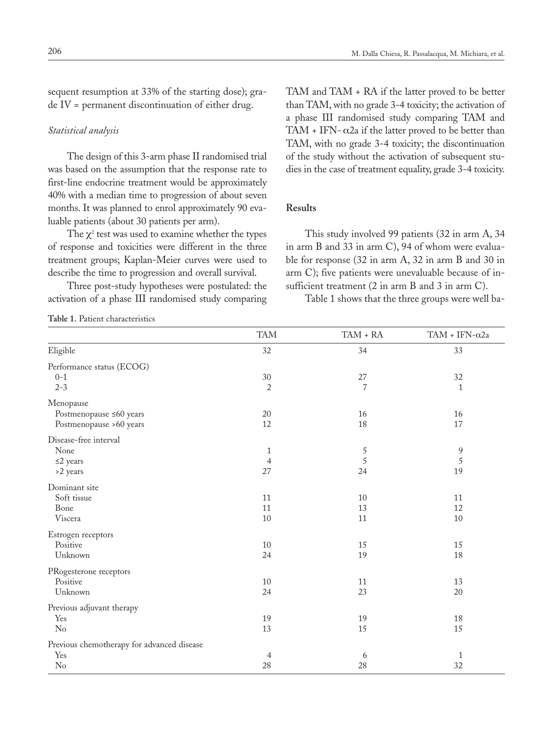sequent resumption at 33% of the starting dose); grade IV = permanent discontinuation of either drug.

#### *Statistical analysis*

The design of this 3-arm phase II randomised trial was based on the assumption that the response rate to first-line endocrine treatment would be approximately 40% with a median time to progression of about seven months. It was planned to enrol approximately 90 evaluable patients (about 30 patients per arm).

The  $\chi^2$  test was used to examine whether the types of response and toxicities were different in the three treatment groups; Kaplan-Meier curves were used to describe the time to progression and overall survival.

Three post-study hypotheses were postulated: the activation of a phase III randomised study comparing TAM and TAM + RA if the latter proved to be better than TAM, with no grade 3-4 toxicity; the activation of a phase III randomised study comparing TAM and TAM + IFN- $\alpha$ 2a if the latter proved to be better than TAM, with no grade 3-4 toxicity; the discontinuation of the study without the activation of subsequent studies in the case of treatment equality, grade 3-4 toxicity.

#### **Results**

This study involved 99 patients (32 in arm A, 34 in arm B and 33 in arm C), 94 of whom were evaluable for response (32 in arm A, 32 in arm B and 30 in arm C); five patients were unevaluable because of insufficient treatment (2 in arm B and 3 in arm C).

Table 1 shows that the three groups were well ba-

**Table 1.** Patient characteristics

|                                            | <b>TAM</b>     | $\mathrm{TAM}$ + $\mathrm{RA}$ | TAM + IFN- $\alpha$ 2a |
|--------------------------------------------|----------------|--------------------------------|------------------------|
| Eligible                                   | 32             | 34                             | 33                     |
| Performance status (ECOG)                  |                |                                |                        |
| $0 - 1$                                    | $30\,$         | $27\,$                         | 32                     |
| $2 - 3$                                    | $\overline{2}$ | $\overline{7}$                 | $\mathbf{1}$           |
| Menopause                                  |                |                                |                        |
| Postmenopause ≤60 years                    | 20             | 16                             | 16                     |
| Postmenopause >60 years                    | $12\,$         | 18                             | 17                     |
| Disease-free interval                      |                |                                |                        |
| None                                       | 1              | 5                              | 9                      |
| $\leq$ 2 years                             | $\overline{4}$ | $\overline{5}$                 | $\sqrt{5}$             |
| >2 years                                   | 27             | 24                             | 19                     |
| Dominant site                              |                |                                |                        |
| Soft tissue                                | 11             | 10                             | $11\,$                 |
| Bone                                       | 11             | 13                             | 12                     |
| Viscera                                    | 10             | 11                             | 10                     |
| Estrogen receptors                         |                |                                |                        |
| Positive                                   | 10             | 15                             | 15                     |
| Unknown                                    | 24             | 19                             | 18                     |
| PRogesterone receptors                     |                |                                |                        |
| Positive                                   | $10\,$         | 11                             | 13                     |
| Unknown                                    | 24             | 23                             | $20\,$                 |
| Previous adjuvant therapy                  |                |                                |                        |
| Yes                                        | 19             | 19                             | 18                     |
| N <sub>o</sub>                             | 13             | 15                             | 15                     |
| Previous chemotherapy for advanced disease |                |                                |                        |
| Yes                                        | $\overline{4}$ | 6                              | $\mathbf{1}$           |
| $\rm No$                                   | 28             | 28                             | 32                     |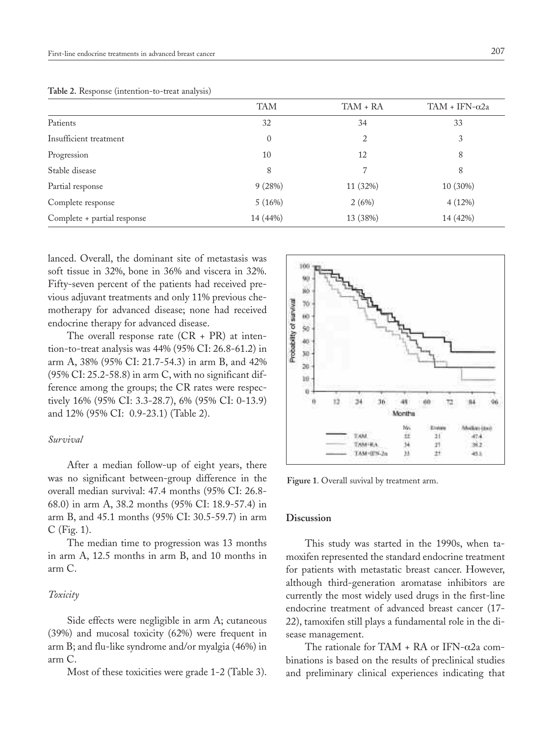|                             | <b>TAM</b> | TAM + RA | TAM + IFN- $\alpha$ 2a |
|-----------------------------|------------|----------|------------------------|
| Patients                    | 32         | 34       | 33                     |
| Insufficient treatment      | $\theta$   | 2        | 3                      |
| Progression                 | 10         | 12       | 8                      |
| Stable disease              | 8          | 7        | 8                      |
| Partial response            | 9(28%)     | 11 (32%) | 10 (30%)               |
| Complete response           | 5(16%)     | 2(6%)    | 4(12%)                 |
| Complete + partial response | 14 (44%)   | 13 (38%) | 14 (42%)               |
|                             |            |          |                        |

**Table 2.** Response (intention-to-treat analysis)

lanced. Overall, the dominant site of metastasis was soft tissue in 32%, bone in 36% and viscera in 32%. Fifty-seven percent of the patients had received previous adjuvant treatments and only 11% previous chemotherapy for advanced disease; none had received endocrine therapy for advanced disease.

The overall response rate (CR + PR) at intention-to-treat analysis was 44% (95% CI: 26.8-61.2) in arm A, 38% (95% CI: 21.7-54.3) in arm B, and 42% (95% CI: 25.2-58.8) in arm C, with no significant difference among the groups; the CR rates were respectively 16% (95% CI: 3.3-28.7), 6% (95% CI: 0-13.9) and 12% (95% CI: 0.9-23.1) (Table 2).

#### *Survival*

After a median follow-up of eight years, there was no significant between-group difference in the overall median survival: 47.4 months (95% CI: 26.8- 68.0) in arm A, 38.2 months (95% CI: 18.9-57.4) in arm B, and 45.1 months (95% CI: 30.5-59.7) in arm C (Fig. 1).

The median time to progression was 13 months in arm A, 12.5 months in arm B, and 10 months in arm C.

## *Toxicity*

Side effects were negligible in arm A; cutaneous (39%) and mucosal toxicity (62%) were frequent in arm B; and flu-like syndrome and/or myalgia (46%) in arm C.

Most of these toxicities were grade 1-2 (Table 3).



**Figure 1**. Overall suvival by treatment arm.

#### **Discussion**

This study was started in the 1990s, when tamoxifen represented the standard endocrine treatment for patients with metastatic breast cancer. However, although third-generation aromatase inhibitors are currently the most widely used drugs in the first-line endocrine treatment of advanced breast cancer (17- 22), tamoxifen still plays a fundamental role in the disease management.

The rationale for TAM + RA or IFN- $\alpha$ 2a combinations is based on the results of preclinical studies and preliminary clinical experiences indicating that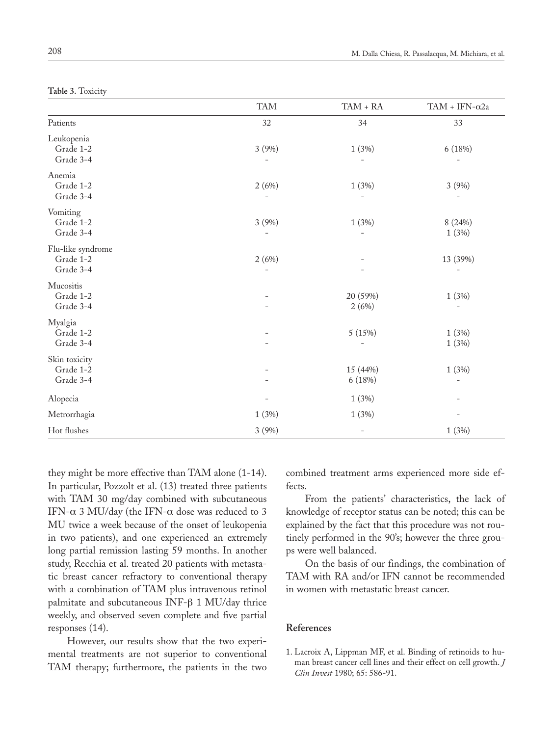|  | Table 3. Toxicity |  |
|--|-------------------|--|
|  |                   |  |

|                                             | <b>TAM</b> | $TAM + RA$               | TAM + IFN- $\alpha$ 2a            |
|---------------------------------------------|------------|--------------------------|-----------------------------------|
| Patients                                    | 32         | 34                       | 33                                |
| Leukopenia<br>Grade 1-2<br>Grade 3-4        | 3 (9%)     | 1(3%)                    | 6 (18%)                           |
| Anemia<br>Grade 1-2<br>Grade 3-4            | 2(6%)      | 1(3%)                    | 3 (9%)                            |
| Vomiting<br>Grade 1-2<br>Grade 3-4          | 3 (9%)     | 1(3%)                    | 8 (24%)<br>1(3%)                  |
| Flu-like syndrome<br>Grade 1-2<br>Grade 3-4 | 2(6%)      |                          | 13 (39%)                          |
| Mucositis<br>Grade 1-2<br>Grade 3-4         |            | 20 (59%)<br>2(6%)        | 1(3%)                             |
| Myalgia<br>Grade 1-2<br>Grade 3-4           |            | 5 (15%)                  | 1(3%)<br>1(3%)                    |
| Skin toxicity<br>Grade 1-2<br>Grade 3-4     |            | 15 (44%)<br>6 (18%)      | 1(3%)<br>$\overline{\phantom{a}}$ |
| Alopecia                                    |            | 1(3%)                    |                                   |
| Metrorrhagia                                | 1(3%)      | 1(3%)                    |                                   |
| Hot flushes                                 | 3(9%)      | $\overline{\phantom{0}}$ | 1(3%)                             |

they might be more effective than TAM alone (1-14). In particular, Pozzolt et al. (13) treated three patients with TAM 30 mg/day combined with subcutaneous IFN- $\alpha$  3 MU/day (the IFN- $\alpha$  dose was reduced to 3 MU twice a week because of the onset of leukopenia in two patients), and one experienced an extremely long partial remission lasting 59 months. In another study, Recchia et al. treated 20 patients with metastatic breast cancer refractory to conventional therapy with a combination of TAM plus intravenous retinol palmitate and subcutaneous INF-β 1 MU/day thrice weekly, and observed seven complete and five partial responses (14).

However, our results show that the two experimental treatments are not superior to conventional TAM therapy; furthermore, the patients in the two combined treatment arms experienced more side effects.

From the patients' characteristics, the lack of knowledge of receptor status can be noted; this can be explained by the fact that this procedure was not routinely performed in the 90's; however the three groups were well balanced.

On the basis of our findings, the combination of TAM with RA and/or IFN cannot be recommended in women with metastatic breast cancer.

### **References**

1. Lacroix A, Lippman MF, et al. Binding of retinoids to human breast cancer cell lines and their effect on cell growth. *J Clin Invest* 1980; 65: 586-91.